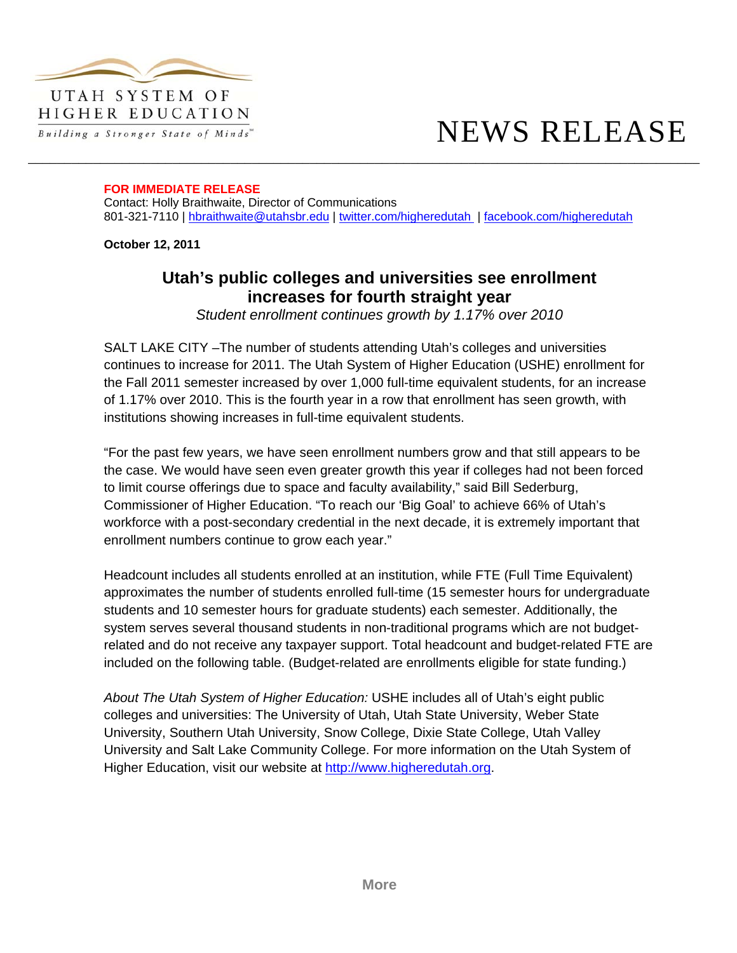

## HIGHER EDUCATION Building a Stronger State of Minds"

## NEWS RELEASE

## **FOR IMMEDIATE RELEASE**

Contact: Holly Braithwaite, Director of Communications 801-321-7110 | hbraithwaite@utahsbr.edu | twitter.com/higheredutah | facebook.com/higheredutah

\_\_\_\_\_\_\_\_\_\_\_\_\_\_\_\_\_\_\_\_\_\_\_\_\_\_\_\_\_\_\_\_\_\_\_\_\_\_\_\_\_\_\_\_\_\_\_\_\_\_\_\_\_\_\_\_\_\_\_\_\_\_\_\_\_\_\_\_\_\_\_\_\_\_\_\_\_\_\_\_\_\_\_\_\_\_\_\_\_\_\_\_\_

**October 12, 2011**

## **Utah's public colleges and universities see enrollment increases for fourth straight year**

*Student enrollment continues growth by 1.17% over 2010* 

SALT LAKE CITY –The number of students attending Utah's colleges and universities continues to increase for 2011. The Utah System of Higher Education (USHE) enrollment for the Fall 2011 semester increased by over 1,000 full-time equivalent students, for an increase of 1.17% over 2010. This is the fourth year in a row that enrollment has seen growth, with institutions showing increases in full-time equivalent students.

"For the past few years, we have seen enrollment numbers grow and that still appears to be the case. We would have seen even greater growth this year if colleges had not been forced to limit course offerings due to space and faculty availability," said Bill Sederburg, Commissioner of Higher Education. "To reach our 'Big Goal' to achieve 66% of Utah's workforce with a post-secondary credential in the next decade, it is extremely important that enrollment numbers continue to grow each year."

Headcount includes all students enrolled at an institution, while FTE (Full Time Equivalent) approximates the number of students enrolled full-time (15 semester hours for undergraduate students and 10 semester hours for graduate students) each semester. Additionally, the system serves several thousand students in non-traditional programs which are not budgetrelated and do not receive any taxpayer support. Total headcount and budget-related FTE are included on the following table. (Budget-related are enrollments eligible for state funding.)

*About The Utah System of Higher Education:* USHE includes all of Utah's eight public colleges and universities: The University of Utah, Utah State University, Weber State University, Southern Utah University, Snow College, Dixie State College, Utah Valley University and Salt Lake Community College. For more information on the Utah System of Higher Education, visit our website at http://www.higheredutah.org.